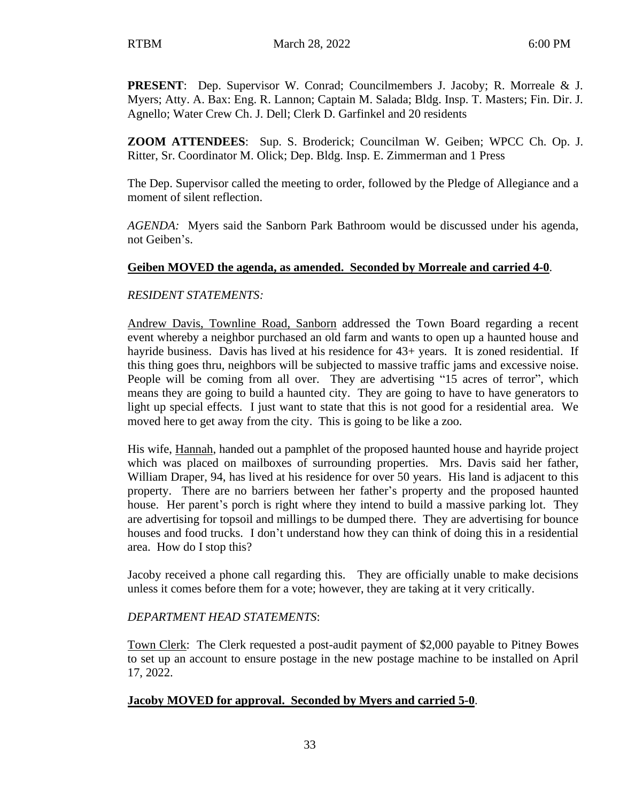**PRESENT**: Dep. Supervisor W. Conrad; Councilmembers J. Jacoby; R. Morreale & J. Myers; Atty. A. Bax: Eng. R. Lannon; Captain M. Salada; Bldg. Insp. T. Masters; Fin. Dir. J. Agnello; Water Crew Ch. J. Dell; Clerk D. Garfinkel and 20 residents

**ZOOM ATTENDEES**: Sup. S. Broderick; Councilman W. Geiben; WPCC Ch. Op. J. Ritter, Sr. Coordinator M. Olick; Dep. Bldg. Insp. E. Zimmerman and 1 Press

The Dep. Supervisor called the meeting to order, followed by the Pledge of Allegiance and a moment of silent reflection.

*AGENDA:* Myers said the Sanborn Park Bathroom would be discussed under his agenda, not Geiben's.

## **Geiben MOVED the agenda, as amended. Seconded by Morreale and carried 4-0**.

#### *RESIDENT STATEMENTS:*

Andrew Davis, Townline Road, Sanborn addressed the Town Board regarding a recent event whereby a neighbor purchased an old farm and wants to open up a haunted house and hayride business. Davis has lived at his residence for 43+ years. It is zoned residential. If this thing goes thru, neighbors will be subjected to massive traffic jams and excessive noise. People will be coming from all over. They are advertising "15 acres of terror", which means they are going to build a haunted city. They are going to have to have generators to light up special effects. I just want to state that this is not good for a residential area. We moved here to get away from the city. This is going to be like a zoo.

His wife, Hannah, handed out a pamphlet of the proposed haunted house and hayride project which was placed on mailboxes of surrounding properties. Mrs. Davis said her father, William Draper, 94, has lived at his residence for over 50 years. His land is adjacent to this property. There are no barriers between her father's property and the proposed haunted house. Her parent's porch is right where they intend to build a massive parking lot. They are advertising for topsoil and millings to be dumped there. They are advertising for bounce houses and food trucks. I don't understand how they can think of doing this in a residential area. How do I stop this?

Jacoby received a phone call regarding this. They are officially unable to make decisions unless it comes before them for a vote; however, they are taking at it very critically.

#### *DEPARTMENT HEAD STATEMENTS*:

Town Clerk: The Clerk requested a post-audit payment of \$2,000 payable to Pitney Bowes to set up an account to ensure postage in the new postage machine to be installed on April 17, 2022.

#### **Jacoby MOVED for approval. Seconded by Myers and carried 5-0**.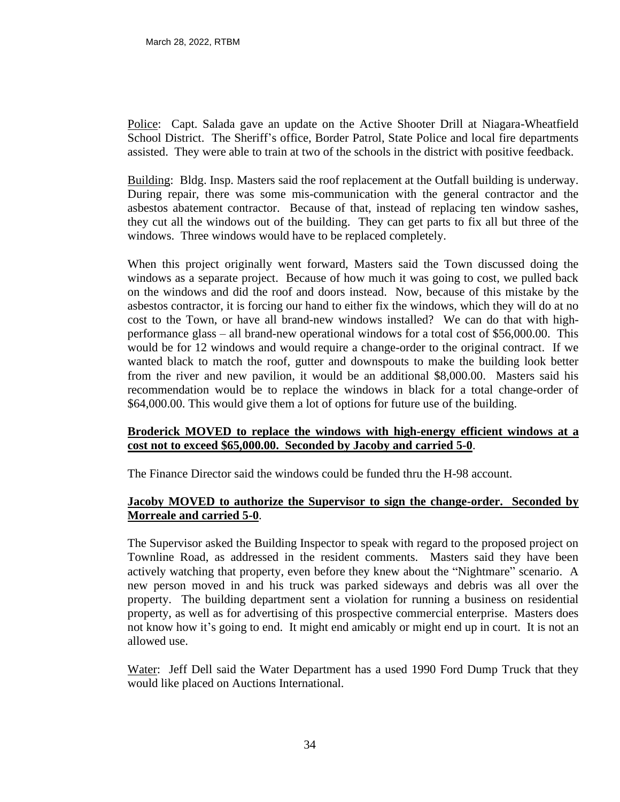Police: Capt. Salada gave an update on the Active Shooter Drill at Niagara-Wheatfield School District. The Sheriff's office, Border Patrol, State Police and local fire departments assisted. They were able to train at two of the schools in the district with positive feedback.

Building: Bldg. Insp. Masters said the roof replacement at the Outfall building is underway. During repair, there was some mis-communication with the general contractor and the asbestos abatement contractor. Because of that, instead of replacing ten window sashes, they cut all the windows out of the building. They can get parts to fix all but three of the windows. Three windows would have to be replaced completely.

When this project originally went forward, Masters said the Town discussed doing the windows as a separate project. Because of how much it was going to cost, we pulled back on the windows and did the roof and doors instead. Now, because of this mistake by the asbestos contractor, it is forcing our hand to either fix the windows, which they will do at no cost to the Town, or have all brand-new windows installed? We can do that with highperformance glass – all brand-new operational windows for a total cost of \$56,000.00. This would be for 12 windows and would require a change-order to the original contract. If we wanted black to match the roof, gutter and downspouts to make the building look better from the river and new pavilion, it would be an additional \$8,000.00. Masters said his recommendation would be to replace the windows in black for a total change-order of \$64,000.00. This would give them a lot of options for future use of the building.

#### **Broderick MOVED to replace the windows with high-energy efficient windows at a cost not to exceed \$65,000.00. Seconded by Jacoby and carried 5-0**.

The Finance Director said the windows could be funded thru the H-98 account.

#### **Jacoby MOVED to authorize the Supervisor to sign the change-order. Seconded by Morreale and carried 5-0**.

The Supervisor asked the Building Inspector to speak with regard to the proposed project on Townline Road, as addressed in the resident comments. Masters said they have been actively watching that property, even before they knew about the "Nightmare" scenario. A new person moved in and his truck was parked sideways and debris was all over the property. The building department sent a violation for running a business on residential property, as well as for advertising of this prospective commercial enterprise. Masters does not know how it's going to end. It might end amicably or might end up in court. It is not an allowed use.

Water: Jeff Dell said the Water Department has a used 1990 Ford Dump Truck that they would like placed on Auctions International.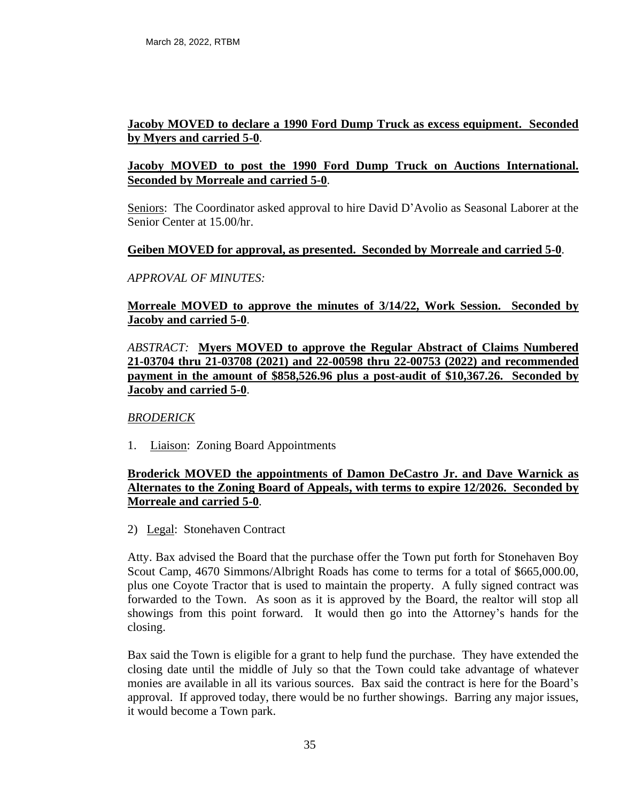### **Jacoby MOVED to declare a 1990 Ford Dump Truck as excess equipment. Seconded by Myers and carried 5-0**.

## **Jacoby MOVED to post the 1990 Ford Dump Truck on Auctions International. Seconded by Morreale and carried 5-0**.

Seniors: The Coordinator asked approval to hire David D'Avolio as Seasonal Laborer at the Senior Center at 15.00/hr.

#### **Geiben MOVED for approval, as presented. Seconded by Morreale and carried 5-0**.

#### *APPROVAL OF MINUTES:*

### **Morreale MOVED to approve the minutes of 3/14/22, Work Session. Seconded by Jacoby and carried 5-0**.

## *ABSTRACT:* **Myers MOVED to approve the Regular Abstract of Claims Numbered 21-03704 thru 21-03708 (2021) and 22-00598 thru 22-00753 (2022) and recommended payment in the amount of \$858,526.96 plus a post-audit of \$10,367.26. Seconded by Jacoby and carried 5-0**.

#### *BRODERICK*

1. Liaison: Zoning Board Appointments

## **Broderick MOVED the appointments of Damon DeCastro Jr. and Dave Warnick as Alternates to the Zoning Board of Appeals, with terms to expire 12/2026. Seconded by Morreale and carried 5-0**.

2) Legal: Stonehaven Contract

Atty. Bax advised the Board that the purchase offer the Town put forth for Stonehaven Boy Scout Camp, 4670 Simmons/Albright Roads has come to terms for a total of \$665,000.00, plus one Coyote Tractor that is used to maintain the property. A fully signed contract was forwarded to the Town. As soon as it is approved by the Board, the realtor will stop all showings from this point forward. It would then go into the Attorney's hands for the closing.

Bax said the Town is eligible for a grant to help fund the purchase. They have extended the closing date until the middle of July so that the Town could take advantage of whatever monies are available in all its various sources. Bax said the contract is here for the Board's approval. If approved today, there would be no further showings. Barring any major issues, it would become a Town park.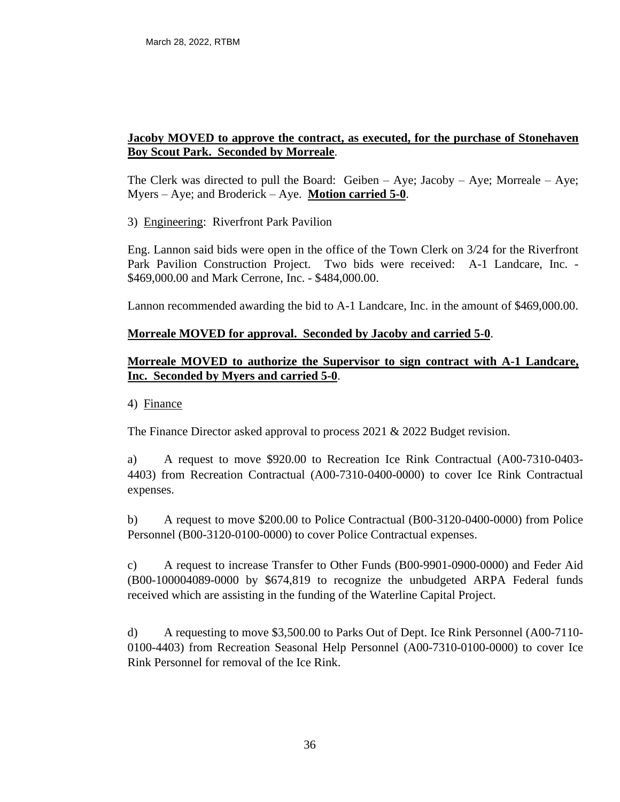## **Jacoby MOVED to approve the contract, as executed, for the purchase of Stonehaven Boy Scout Park. Seconded by Morreale**.

The Clerk was directed to pull the Board: Geiben  $-$  Aye; Jacoby  $-$  Aye; Morreale  $-$  Aye; Myers – Aye; and Broderick – Aye. **Motion carried 5-0**.

3) Engineering: Riverfront Park Pavilion

Eng. Lannon said bids were open in the office of the Town Clerk on 3/24 for the Riverfront Park Pavilion Construction Project. Two bids were received: A-1 Landcare, Inc. - \$469,000.00 and Mark Cerrone, Inc. - \$484,000.00.

Lannon recommended awarding the bid to A-1 Landcare, Inc. in the amount of \$469,000.00.

## **Morreale MOVED for approval. Seconded by Jacoby and carried 5-0**.

## **Morreale MOVED to authorize the Supervisor to sign contract with A-1 Landcare, Inc. Seconded by Myers and carried 5-0**.

4) Finance

The Finance Director asked approval to process 2021 & 2022 Budget revision.

a) A request to move \$920.00 to Recreation Ice Rink Contractual (A00-7310-0403- 4403) from Recreation Contractual (A00-7310-0400-0000) to cover Ice Rink Contractual expenses.

b) A request to move \$200.00 to Police Contractual (B00-3120-0400-0000) from Police Personnel (B00-3120-0100-0000) to cover Police Contractual expenses.

c) A request to increase Transfer to Other Funds (B00-9901-0900-0000) and Feder Aid (B00-100004089-0000 by \$674,819 to recognize the unbudgeted ARPA Federal funds received which are assisting in the funding of the Waterline Capital Project.

d) A requesting to move \$3,500.00 to Parks Out of Dept. Ice Rink Personnel (A00-7110- 0100-4403) from Recreation Seasonal Help Personnel (A00-7310-0100-0000) to cover Ice Rink Personnel for removal of the Ice Rink.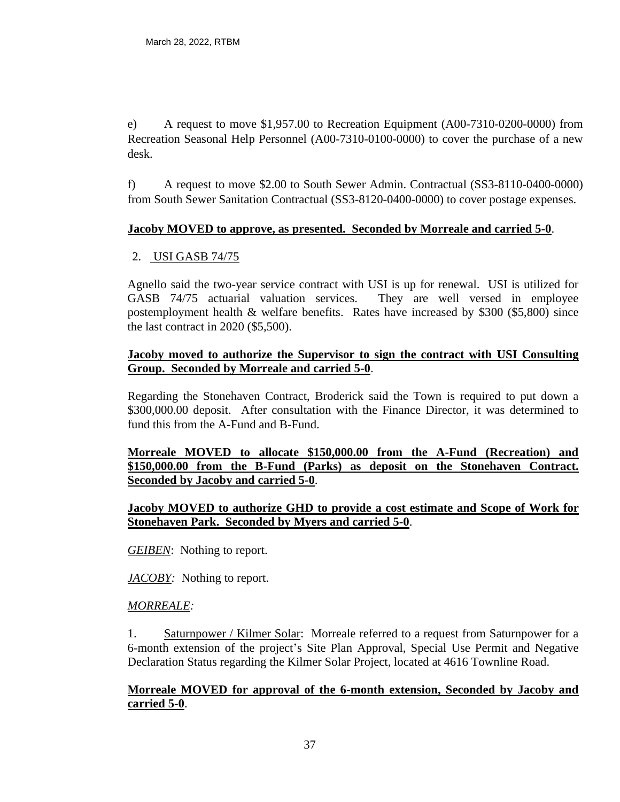e) A request to move \$1,957.00 to Recreation Equipment (A00-7310-0200-0000) from Recreation Seasonal Help Personnel (A00-7310-0100-0000) to cover the purchase of a new desk.

f) A request to move \$2.00 to South Sewer Admin. Contractual (SS3-8110-0400-0000) from South Sewer Sanitation Contractual (SS3-8120-0400-0000) to cover postage expenses.

# **Jacoby MOVED to approve, as presented. Seconded by Morreale and carried 5-0**.

## 2. USI GASB 74/75

Agnello said the two-year service contract with USI is up for renewal. USI is utilized for GASB 74/75 actuarial valuation services. They are well versed in employee postemployment health & welfare benefits. Rates have increased by \$300 (\$5,800) since the last contract in 2020 (\$5,500).

### **Jacoby moved to authorize the Supervisor to sign the contract with USI Consulting Group. Seconded by Morreale and carried 5-0**.

Regarding the Stonehaven Contract, Broderick said the Town is required to put down a \$300,000.00 deposit. After consultation with the Finance Director, it was determined to fund this from the A-Fund and B-Fund.

**Morreale MOVED to allocate \$150,000.00 from the A-Fund (Recreation) and \$150,000.00 from the B-Fund (Parks) as deposit on the Stonehaven Contract. Seconded by Jacoby and carried 5-0**.

## **Jacoby MOVED to authorize GHD to provide a cost estimate and Scope of Work for Stonehaven Park. Seconded by Myers and carried 5-0**.

*GEIBEN*: Nothing to report.

*JACOBY:* Nothing to report.

## *MORREALE:*

1. Saturnpower / Kilmer Solar: Morreale referred to a request from Saturnpower for a 6-month extension of the project's Site Plan Approval, Special Use Permit and Negative Declaration Status regarding the Kilmer Solar Project, located at 4616 Townline Road.

# **Morreale MOVED for approval of the 6-month extension, Seconded by Jacoby and carried 5-0**.